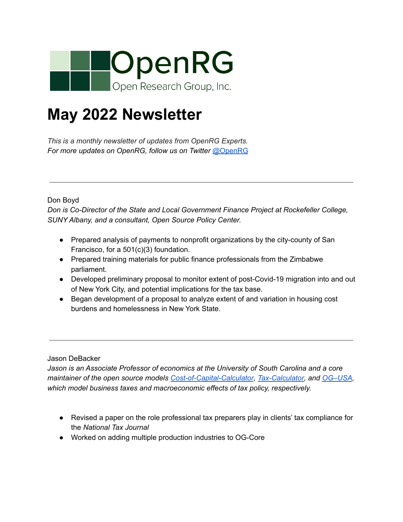

## **May 2022 Newsletter**

*This is a monthly newsletter of updates from OpenRG Experts. For more updates on OpenRG, follow us on Twitter* [@OpenRG](https://twitter.com/OpenRG)

Don Boyd

*Don is Co-Director of the State and Local Government Finance Project at Rockefeller College, SUNY Albany, and a consultant, Open Source Policy Center.*

- Prepared analysis of payments to nonprofit organizations by the city-county of San Francisco, for a 501(c)(3) foundation.
- Prepared training materials for public finance professionals from the Zimbabwe parliament.
- Developed preliminary proposal to monitor extent of post-Covid-19 migration into and out of New York City, and potential implications for the tax base.
- Began development of a proposal to analyze extent of and variation in housing cost burdens and homelessness in New York State.

Jason DeBacker

*Jason is an Associate Professor of economics at the University of South Carolina and a core maintainer of the open source models [Cost-of-Capital-Calculator](https://github.com/PSLmodels/Cost-of-Capital-Calculator), [Tax-Calculator,](https://taxcalc.pslmodels.org) and [OG–USA](https://github.com/open-source-economics/og-usa), which model business taxes and macroeconomic effects of tax policy, respectively.*

- Revised a paper on the role professional tax preparers play in clients' tax compliance for the *National Tax Journal*
- Worked on adding multiple production industries to OG-Core